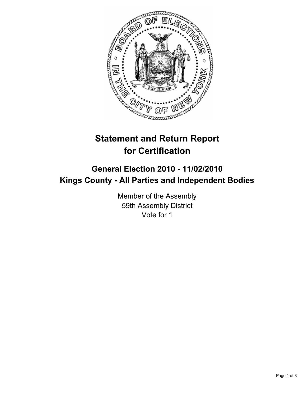

# **Statement and Return Report for Certification**

## **General Election 2010 - 11/02/2010 Kings County - All Parties and Independent Bodies**

Member of the Assembly 59th Assembly District Vote for 1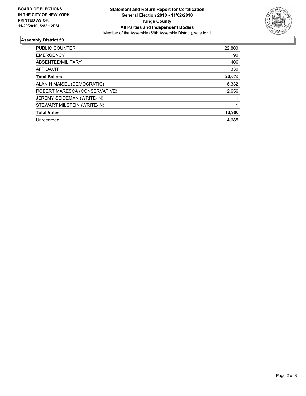

### **Assembly District 59**

| <b>PUBLIC COUNTER</b>         | 22,800 |
|-------------------------------|--------|
| <b>EMERGENCY</b>              | 90     |
| ABSENTEE/MILITARY             | 406    |
| <b>AFFIDAVIT</b>              | 330    |
| <b>Total Ballots</b>          | 23,675 |
| ALAN N MAISEL (DEMOCRATIC)    | 16,332 |
| ROBERT MARESCA (CONSERVATIVE) | 2,656  |
| JEREMY SEIDEMAN (WRITE-IN)    |        |
| STEWART MILSTEIN (WRITE-IN)   |        |
| <b>Total Votes</b>            | 18,990 |
| Unrecorded                    | 4.685  |
|                               |        |